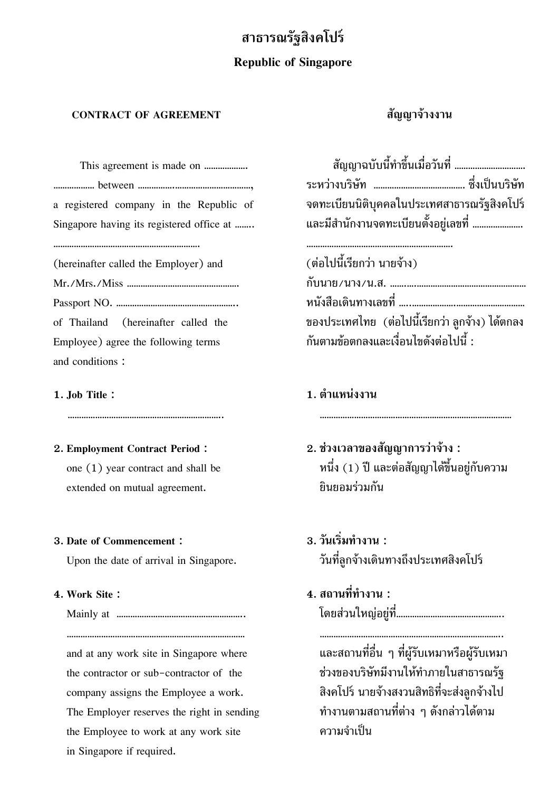# **สาธารณรัฐสิงคโปร**

## **Republic of Singapore**

## **CONTRACT OF AGREEMENT สัญญาจางงาน**

This agreement is made on ………………. สัญญาฉบับนี้ทําขึ้นเมื่อวันที่ …………………………. ……………… between …………….……………………………, ระหวางบริษัท …………………………………. ซึ่งเปนบริษัท a registered company in the Republic of Singapore having its registered office at  $\ldots$ ….

(hereinafter called the Employer) and (ตอไปนี้เรียกวา นายจาง) Employee) agree the following terms  $\tilde{\mathsf{n}}$ นตามข้อตกลงและเงื่อนไขดังต่อไปนี้ : and conditions :

………………………………………………………. ……………………………………………………….

**2. Employment Contract Period : 2. ชวงเวลาของสัญญาการวาจาง :** extended on mutual agreement. ยินยอมรวมกัน

# **3. Date of Commencement : 3. วนเร ั ิ่มทํางาน :**

and at any work site in Singapore where และสถานที่อื่น ๆ ที่ผูรับเหมาหรือผูรับเหมา the contractor or sub-contractor of the ชวงของบริษัทมีงานใหทําภายในสาธารณรัฐ company assigns the Employee a work. สิงคโปร์ นายจ้างสงวนสิทธิที่จะส่งลูกจ้างไป The Employer reserves the right in sending  $\ddot{\hat{\eta}}$ ทำงานตามสถานที่ต่าง ๆ ดังกล่าวได้ตาม the Employee to work at any work site ความจําเปน in Singapore if required.

| ้สัญญาฉบับนี้ทำขึ้นเมื่อวันที่              |  |
|---------------------------------------------|--|
|                                             |  |
| จดทะเบียนนิติบุคคลในประเทศสาธารณรัฐสิงคโปร์ |  |
| และมีสำนักงานจดทะเบียนตั้งอยู่เลขที่        |  |
|                                             |  |
|                                             |  |

Mr./Mrs./Miss …………………………………………. กับนาย/นาง/น.ส. …….….………………………………………… Passport NO. …………………………………………….. หนังสือเดินทางเลขที่ …..……………….………………………… of Thailand (hereinafter called the ของประเทศไทย (ต่อไปนี้เรียกว่า ลูกจ้าง) ได้ตกลง

## **1. Job Title : 1. ตาแหน ํ งงาน**

………………………………………………………….. …………………………………………………………………………

one  $(1)$  year contract and shall be  $\begin{array}{ccc} \gamma & \gamma & \gamma \end{array}$  หนึ่ง  $(1)$  ปี และต่อสัญญาได้ขึ้นอยู่กับความ

# Upon the date of arrival in Singapore. วันที่ลูกจ้างเดินทางถึงประเทศสิงคโปร์

**4. Work Site : 4. สถานที่ทํางาน :**

…………………………………………………………………… ……………………………………………………………………..

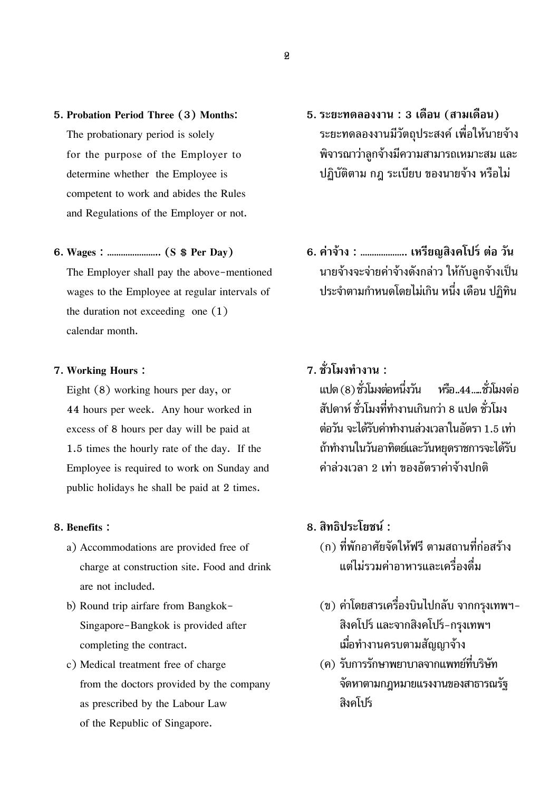competent to work and abides the Rules and Regulations of the Employer or not.

the duration not exceeding one (1) calendar month.

44 hours per week. Any hour worked in  $\qquad \qquad$ สัปดาห์ ชั่วโมงที่ทำงานเกินกว่า 8 แปด ชั่วโมง  $\overline{\phantom{a}}$  excess of 8 hours per day will be paid at  $\overline{\phantom{a}}$  ต่อวัน จะได้รับค่าทำงานล่วงเวลาในอัตรา 1.5 เท่า  $1.5$  times the hourly rate of the day. If the  $\hbox{${\hat{\rm m}}}$ กำทางเในวันอาทิตย์และวันหยุดราชการจะได้รับ Employee is required to work on Sunday and คาลวงเวลา 2 เทา ของอัตราคาจางปกติ public holidays he shall be paid at 2 times.

- charge at construction site. Food and drink แตไมรวมคาอาหารและเครื่องดื่ม are not included.
- $\overrightarrow{\text{c}}$ completing the contract.
- from the doctors provided by the company จัดหาตามกฎหมายแรงงานของสาธารณรัฐ as prescribed by the Labour Law สงคโปร ิ of the Republic of Singapore.
- **5. Probation Period Three (3) Months: 5. ระยะทดลองงาน : 3 เดือน (สามเดือน)** The probationary period is solely **5**ระยะทดลองงานมีวัตถุประสงค์ เพื่อให้นายจ้าง for the purpose of the Employer to  $\hat{\mathfrak{g}}$ จารณาว่าลูกจ้างมีความสามารถเหมาะสม และ determine whether the Employee is ปฏิบัติตาม กฎ ระเบียบ ของนายจาง หรือไม
- **6. Wages : ………………….. (S \$ Per Day) 6. คาจาง : ……………….. เหรียญสิงคโปรตอ วัน** The Employer shall pay the above-mentioned นายจ้างจะจ่ายค่าจ้างดังกล่าว ให้กับลูกจ้างเป็น wages to the Employee at regular intervals of ประจำตามกำหนดโดยไม่เกิน หนึ่ง เดือน ปฏิทิน

# **7. Working Hours : 7. ชวโมงท ั่ ํางาน :**

 $E$ ight (8) working hours per day, or  $E$  แปด (8) ชั่วโมงต่อหนึ่งวัน หรือ..44.....ชั่วโมงต่อ

## **8. Benefits : 8. สิทธิประโยชน :**

- a) Accommodations are provided free of  $($ ก) ที่พักอาศัยจัดให้ฟรี ตามสถานที่ก่อสร้าง
- b) Round trip airfare from Bangkok- (ข) ค่าโดยสารเครื่องบินไปกลับ จากกรุงเทพฯ-Singapore-Bangkok is provided after  $\hat{a}$ งคโปร์ และจากสิงคโปร์-กรุงเทพฯ
- c) Medical treatment free of charge (ค) รับการรักษาพยาบาลจากแพทย์ที่บริษัท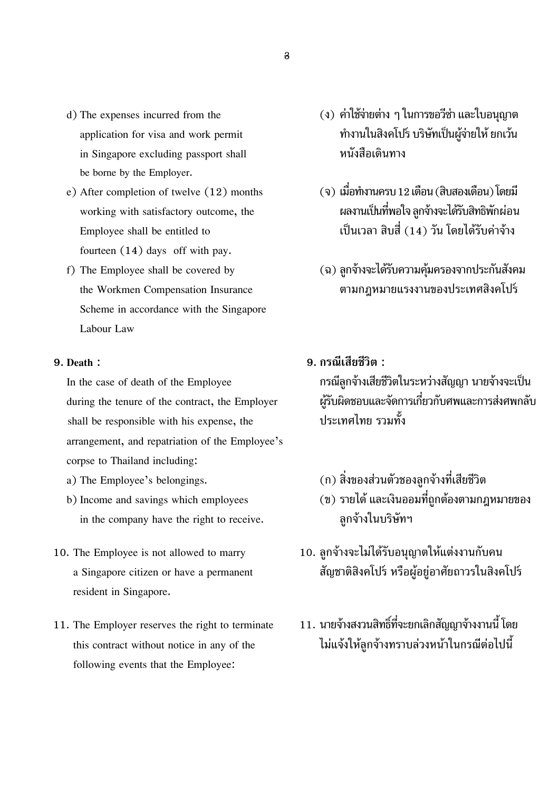- in Singapore excluding passport shall หนังสือเดินทาง be borne by the Employer.
- fourteen (14) days off with pay.
- Scheme in accordance with the Singapore Labour Law

shall be responsible with his expense, the ประเทศไทย รวมทั้ง arrangement, and repatriation of the Employee's corpse to Thailand including:

- 
- in the company have the right to receive. **ล**ูกจ้างในบริษัทฯ
- resident in Singapore.
- following events that the Employee:
- d) The expenses incurred from the  $(3)$  ค่าใช้จ่ายต่าง ๆ ในการขอวีซ่า และใบอนุญาต application for visa and work permit **พ**านเป็นสิงคโปร์ บริษัทเป็นผู้จ่ายให้ ยกเว้น
- e) After completion of twelve  $(12)$  months  $(9)$  เมื่อทำงานครบ 12 เดือน (สิบสองเดือน) โดยมี working with satisfactory outcome, the ผลงานเป็นที่พอใจ ลูกจ้างจะได้รับสิทธิพักผ่อน Employee shall be entitled to  $\qquad \qquad$  เป็นเวลา สิบสี่  $(14)$  วัน โดยได้รับค่าจ้าง
- f) The Employee shall be covered by  $($ ฉ) ลูกจ้างจะได้รับความคุ้มครองจากประกันสังคม the Workmen Compensation Insurance ตามกฎหมายแรงงานของประเทศสิงคโปร
- **9. Death : 9. กรณีเสียชีวิต :**

In the case of death of the Employee กรณีลูกจ้างเสียชีวิตในระหว่างสัญญา นายจ้างจะเป็น during the tenure of the contract, the Employer ผู้รับผิดชอบและจัดการเกี่ยวกับศพและการส่งศพกลับ

- a) The Employee's belongings. (ก) สิ่งของสวนตัวชองลูกจางที่เสียชีวิต
- b) Income and savings which employees  $($  ข) รายได้ และเงินออมที่ถูกต้องตามกฎหมายของ
- 10. The Employee is not allowed to marry  $10.$  ลูกจ้างจะไม่ได้รับอนุญาตให้แต่งงานกับคน a Singapore citizen or have a permanent สัญชาติสิงคโปร์ หรือผู้อยู่อาศัยถาวรในสิงคโปร์
- $11.$  The Employer reserves the right to terminate  $\qquad\qquad 11.$  นายจ้างสงวนสิทธิ์ที่จะยกเลิกสัญญาจ้างงานนี้ โดย this contract without notice in any of the ไมแจงใหลูกจางทราบลวงหนาในกรณีตอไปนี้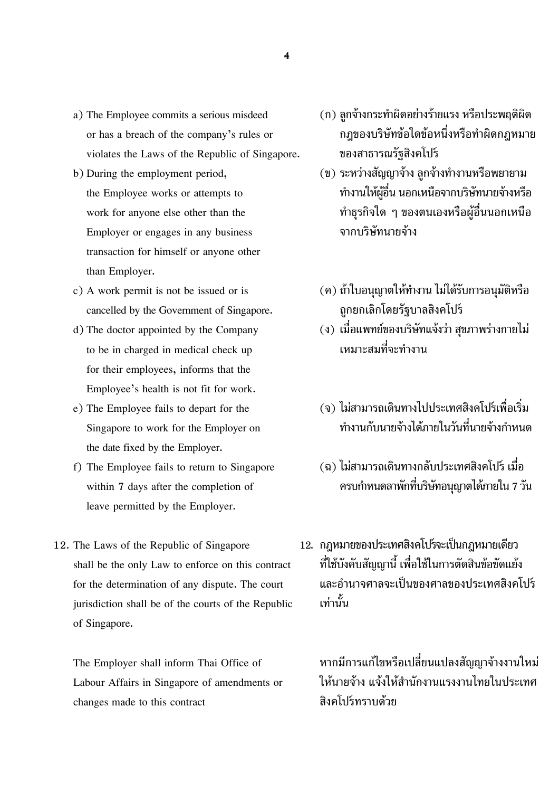- violates the Laws of the Republic of Singapore. ของสาธารณรัฐสิงคโปร
- Employer or engages in any business จากบริษัทนายจาง transaction for himself or anyone other than Employer.
- cancelled by the Government of Singapore. 2012 ถูกยกเลิกโดยรัฐบาลสิงคโปร์
- to be in charged in medical check up **เหมาะสมที่จะทำงาน** for their employees, informs that the Employee's health is not fit for work.
- the date fixed by the Employer.
- leave permitted by the Employer.
- $j$ urisdiction shall be of the courts of the Republic  $\boldsymbol{\dot{\mathsf{u}}}$   $\boldsymbol{\dot{\mathsf{u}}}$   $\boldsymbol{\dot{\mathsf{u}}}$ of Singapore.

changes made to this contract สิงคโปรทราบดวย

- a) The Employee commits a serious misdeed  $( n )$  ลูกจ้างกระทำผิดอย่างร้ายแรง หรือประพฤติผิด or has a breach of the company's rules or กฎของบริษัทขอใดขอหนึ่งหรือทําผิดกฎหมาย
- b) During the employment period,  $($ u) ระหว่างสัญญาจ้าง ลูกจ้างทำงานหรือพยายาม the Employee works or attempts to **ทำงานให้ผู้อื่น นอกเหนือจากบริษัทนายจ้างห**รือ work for anyone else other than the  $\qquad \qquad \qquad \qquad$  ทำธุรกิจใด ๆ ของตนเองหรือผู้อื่นนอกเหนือ
- c) A work permit is not be issued or is  $($  $)$  กำใบอนุญาตให้ทำงาน ไม่ได้รับการอนุมัติหรือ
- d) The doctor appointed by the Company (ง) เมื่อแพทย์ของบริษัทแจ้งว่า สุขภาพร่างกายไม่
- e) The Employee fails to depart for the  $\qquad \qquad (\text{a})$  ไม่สามารถเดินทางไปประเทศสิงคโปร์เพื่อเริ่ม  $S$ ingapore to work for the Employer on  $\qquad \qquad \qquad$  ทำงานกับนายจ้างได้ภายในวันที่นายจ้างกำหนด
- f) The Employee fails to return to Singapore  $\qquad \quad \quad \text{(a)}$  ไม่สามารถเดินทางกลับประเทศสิงคโปร์ เมื่อ within 7 days after the completion of  $\qquad \qquad \qquad$  ครบกำหนดลาพักที่บริษัทอนุญาตได้ภายใน 7 วัน
- 12. The Laws of the Republic of Singapore 12. กฎหมายของประเทศสิงคโปร์จะเป็นกฎหมายเดียว shall be the only Law to enforce on this contract ที่ใช้บังคับสัญญานี้ เพื่อใช้ในการตัดสินข้อขัดแย้ง for the determination of any dispute. The court และอํานาจศาลจะเปนของศาลของประเทศสิงคโปร

The Employer shall inform Thai Office of หากมีการแกไขหรือเปลี่ยนแปลงสัญญาจางงานใหม Labour Affairs in Singapore of amendments or ใหนายจาง แจงใหสํานักงานแรงงานไทยในประเทศ

-4